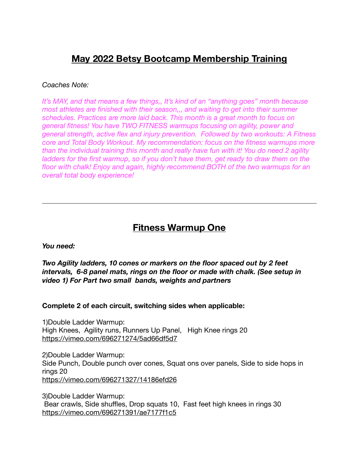# **May 2022 Betsy Bootcamp Membership Training**

#### *Coaches Note:*

*It's MAY, and that means a few things,, It's kind of an "anything goes" month because most athletes are finished with their season,,, and waiting to get into their summer schedules. Practices are more laid back. This month is a great month to focus on general fitness! You have TWO FITNESS warmups focusing on agility, power and general strength, active flex and injury prevention. Followed by two workouts: A Fitness core and Total Body Workout. My recommendation: focus on the fitness warmups more than the individual training this month and really have fun with it! You do need 2 agility*  ladders for the first warmup, so if you don't have them, get ready to draw them on the *floor with chalk! Enjoy and again, highly recommend BOTH of the two warmups for an overall total body experience!* 

## **Fitness Warmup One**

*You need:* 

*Two Agility ladders, 10 cones or markers on the floor spaced out by 2 feet intervals, 6-8 panel mats, rings on the floor or made with chalk. (See setup in video 1) For Part two small bands, weights and partners* 

#### **Complete 2 of each circuit, switching sides when applicable:**

1)Double Ladder Warmup: High Knees, Agility runs, Runners Up Panel, High Knee rings 20 <https://vimeo.com/696271274/5ad66df5d7>

2)Double Ladder Warmup: Side Punch, Double punch over cones, Squat ons over panels, Side to side hops in rings 20 <https://vimeo.com/696271327/14186efd26>

3)Double Ladder Warmup: Bear crawls, Side shuffles, Drop squats 10, Fast feet high knees in rings 30 <https://vimeo.com/696271391/ae7177f1c5>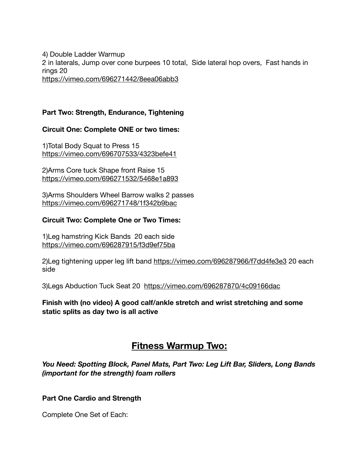4) Double Ladder Warmup 2 in laterals, Jump over cone burpees 10 total, Side lateral hop overs, Fast hands in rings 20 <https://vimeo.com/696271442/8eea06abb3>

## **Part Two: Strength, Endurance, Tightening**

#### **Circuit One: Complete ONE or two times:**

1)Total Body Squat to Press 15 <https://vimeo.com/696707533/4323befe41>

2)Arms Core tuck Shape front Raise 15 <https://vimeo.com/696271532/5468e1a893>

3)Arms Shoulders Wheel Barrow walks 2 passes <https://vimeo.com/696271748/1f342b9bac>

#### **Circuit Two: Complete One or Two Times:**

1)Leg hamstring Kick Bands 20 each side <https://vimeo.com/696287915/f3d9ef75ba>

2)Leg tightening upper leg lift band<https://vimeo.com/696287966/f7dd4fe3e3> 20 each side

3)Legs Abduction Tuck Seat 20 <https://vimeo.com/696287870/4c09166dac>

**Finish with (no video) A good calf/ankle stretch and wrist stretching and some static splits as day two is all active** 

## **Fitness Warmup Two:**

*You Need: Spotting Block, Panel Mats, Part Two: Leg Lift Bar, Sliders, Long Bands (important for the strength) foam rollers* 

#### **Part One Cardio and Strength**

Complete One Set of Each: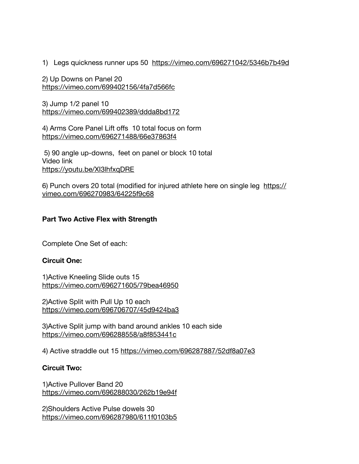1) Legs quickness runner ups 50 <https://vimeo.com/696271042/5346b7b49d>

2) Up Downs on Panel 20 <https://vimeo.com/699402156/4fa7d566fc>

3) Jump 1/2 panel 10 <https://vimeo.com/699402389/ddda8bd172>

4) Arms Core Panel Lift offs 10 total focus on form <https://vimeo.com/696271488/66e37863f4>

 5) 90 angle up-downs, feet on panel or block 10 total Video link <https://youtu.be/XI3lhfxqDRE>

6) Punch overs 20 total (modified for injured athlete here on single leg [https://](https://vimeo.com/696270983/64225f9c68) [vimeo.com/696270983/64225f9c68](https://vimeo.com/696270983/64225f9c68)

## **Part Two Active Flex with Strength**

Complete One Set of each:

## **Circuit One:**

1)Active Kneeling Slide outs 15 <https://vimeo.com/696271605/79bea46950>

2)Active Split with Pull Up 10 each <https://vimeo.com/696706707/45d9424ba3>

3)Active Split jump with band around ankles 10 each side <https://vimeo.com/696288558/a8f853441c>

4) Active straddle out 15 <https://vimeo.com/696287887/52df8a07e3>

## **Circuit Two:**

1)Active Pullover Band 20 <https://vimeo.com/696288030/262b19e94f>

2)Shoulders Active Pulse dowels 30 <https://vimeo.com/696287980/611f0103b5>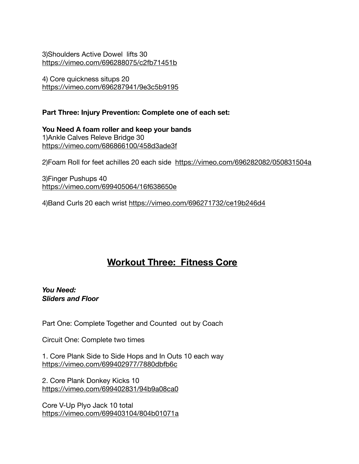3)Shoulders Active Dowel lifts 30 <https://vimeo.com/696288075/c2fb71451b>

4) Core quickness situps 20 <https://vimeo.com/696287941/9e3c5b9195>

## **Part Three: Injury Prevention: Complete one of each set:**

**You Need A foam roller and keep your bands**  1)Ankle Calves Releve Bridge 30 <https://vimeo.com/686866100/458d3ade3f>

2)Foam Roll for feet achilles 20 each side <https://vimeo.com/696282082/050831504a>

3)Finger Pushups 40 <https://vimeo.com/699405064/16f638650e>

4)Band Curls 20 each wrist <https://vimeo.com/696271732/ce19b246d4>

# **Workout Three: Fitness Core**

*You Need: Sliders and Floor* 

Part One: Complete Together and Counted out by Coach

Circuit One: Complete two times

1. Core Plank Side to Side Hops and In Outs 10 each way <https://vimeo.com/699402977/7880dbfb6c>

2. Core Plank Donkey Kicks 10 <https://vimeo.com/699402831/94b9a08ca0>

Core V-Up Plyo Jack 10 total <https://vimeo.com/699403104/804b01071a>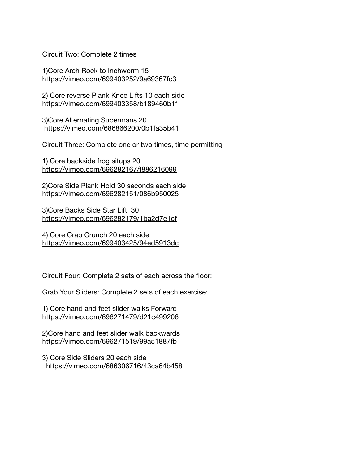Circuit Two: Complete 2 times

1)Core Arch Rock to Inchworm 15 <https://vimeo.com/699403252/9a69367fc3>

2) Core reverse Plank Knee Lifts 10 each side <https://vimeo.com/699403358/b189460b1f>

3)Core Alternating Supermans 20 <https://vimeo.com/686866200/0b1fa35b41>

Circuit Three: Complete one or two times, time permitting

1) Core backside frog situps 20 <https://vimeo.com/696282167/f886216099>

2)Core Side Plank Hold 30 seconds each side <https://vimeo.com/696282151/086b950025>

3)Core Backs Side Star Lift 30 <https://vimeo.com/696282179/1ba2d7e1cf>

4) Core Crab Crunch 20 each side <https://vimeo.com/699403425/94ed5913dc>

Circuit Four: Complete 2 sets of each across the floor:

Grab Your Sliders: Complete 2 sets of each exercise:

1) Core hand and feet slider walks Forward <https://vimeo.com/696271479/d21c499206>

2)Core hand and feet slider walk backwards <https://vimeo.com/696271519/99a51887fb>

3) Core Side Sliders 20 each side <https://vimeo.com/686306716/43ca64b458>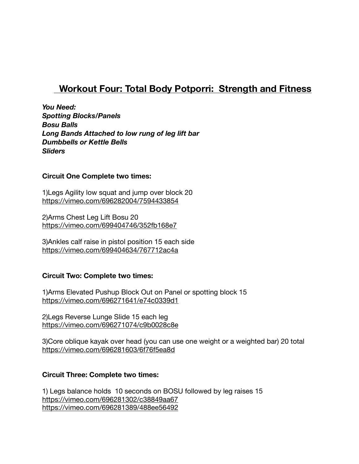# **Workout Four: Total Body Potporri: Strength and Fitness**

*You Need: Spotting Blocks/Panels Bosu Balls Long Bands Attached to low rung of leg lift bar Dumbbells or Kettle Bells Sliders* 

#### **Circuit One Complete two times:**

1)Legs Agility low squat and jump over block 20 <https://vimeo.com/696282004/7594433854>

2)Arms Chest Leg Lift Bosu 20 <https://vimeo.com/699404746/352fb168e7>

3)Ankles calf raise in pistol position 15 each side <https://vimeo.com/699404634/767712ac4a>

## **Circuit Two: Complete two times:**

1)Arms Elevated Pushup Block Out on Panel or spotting block 15 <https://vimeo.com/696271641/e74c0339d1>

2)Legs Reverse Lunge Slide 15 each leg <https://vimeo.com/696271074/c9b0028c8e>

3)Core oblique kayak over head (you can use one weight or a weighted bar) 20 total <https://vimeo.com/696281603/6f76f5ea8d>

## **Circuit Three: Complete two times:**

1) Legs balance holds 10 seconds on BOSU followed by leg raises 15 <https://vimeo.com/696281302/c38849aa67> <https://vimeo.com/696281389/488ee56492>